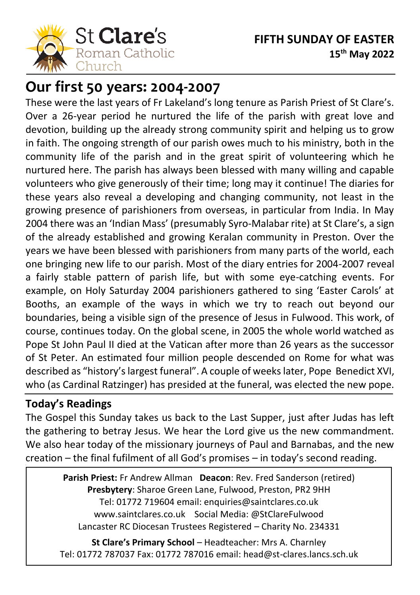

# **Our first 50 years: 2004-2007**

These were the last years of Fr Lakeland's long tenure as Parish Priest of St Clare's. Over a 26-year period he nurtured the life of the parish with great love and devotion, building up the already strong community spirit and helping us to grow in faith. The ongoing strength of our parish owes much to his ministry, both in the community life of the parish and in the great spirit of volunteering which he nurtured here. The parish has always been blessed with many willing and capable volunteers who give generously of their time; long may it continue! The diaries for these years also reveal a developing and changing community, not least in the growing presence of parishioners from overseas, in particular from India. In May 2004 there was an 'Indian Mass' (presumably Syro-Malabar rite) at St Clare's, a sign of the already established and growing Keralan community in Preston. Over the years we have been blessed with parishioners from many parts of the world, each one bringing new life to our parish. Most of the diary entries for 2004-2007 reveal a fairly stable pattern of parish life, but with some eye-catching events. For example, on Holy Saturday 2004 parishioners gathered to sing 'Easter Carols' at Booths, an example of the ways in which we try to reach out beyond our boundaries, being a visible sign of the presence of Jesus in Fulwood. This work, of course, continues today. On the global scene, in 2005 the whole world watched as Pope St John Paul II died at the Vatican after more than 26 years as the successor of St Peter. An estimated four million people descended on Rome for what was described as "history's largest funeral". A couple of weeks later, Pope Benedict XVI, who (as Cardinal Ratzinger) has presided at the funeral, was elected the new pope.

### **Today's Readings**

l

The Gospel this Sunday takes us back to the Last Supper, just after Judas has left the gathering to betray Jesus. We hear the Lord give us the new commandment. We also hear today of the missionary journeys of Paul and Barnabas, and the new creation – the final fufilment of all God's promises – in today's second reading.

> **Parish Priest:** Fr Andrew Allman **Deacon**: Rev. Fred Sanderson (retired) **Presbytery**: Sharoe Green Lane, Fulwood, Preston, PR2 9HH Tel: 01772 719604 email: enquiries@saintclares.co.uk www.saintclares.co.uk Social Media: @StClareFulwood Lancaster RC Diocesan Trustees Registered – Charity No. 234331

**St Clare's Primary School** – Headteacher: Mrs A. Charnley Tel: 01772 787037 Fax: 01772 787016 email: head@st-clares.lancs.sch.uk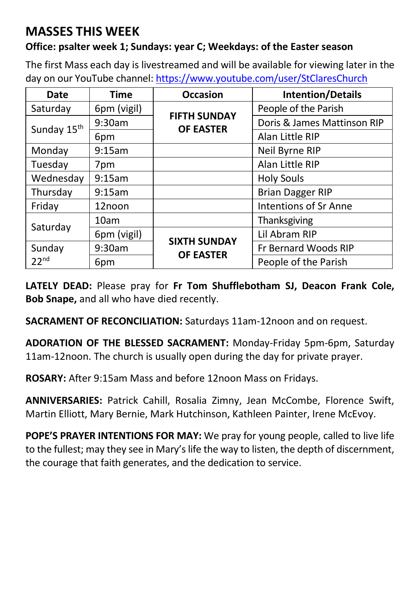## **MASSES THIS WEEK**

#### **Office: psalter week 1; Sundays: year C; Weekdays: of the Easter season**

The first Mass each day is livestreamed and will be available for viewing later in the day on our YouTube channel[: https://www.youtube.com/user/StClaresChurch](https://www.youtube.com/user/StClaresChurch)

| Date                       | <b>Time</b> | <b>Occasion</b>                         | <b>Intention/Details</b>     |  |
|----------------------------|-------------|-----------------------------------------|------------------------------|--|
| Saturday                   | 6pm (vigil) | <b>FIFTH SUNDAY</b><br><b>OF EASTER</b> | People of the Parish         |  |
| Sunday 15 <sup>th</sup>    | 9:30am      |                                         | Doris & James Mattinson RIP  |  |
|                            | 6pm         |                                         | Alan Little RIP              |  |
| Monday                     | 9:15am      |                                         | Neil Byrne RIP               |  |
| Tuesday                    | 7pm         |                                         | Alan Little RIP              |  |
| Wednesday                  | 9:15am      |                                         | <b>Holy Souls</b>            |  |
| Thursday                   | 9:15am      |                                         | <b>Brian Dagger RIP</b>      |  |
| Friday                     | 12noon      |                                         | <b>Intentions of Sr Anne</b> |  |
|                            | 10am        |                                         | Thanksgiving                 |  |
| Saturday                   | 6pm (vigil) | <b>SIXTH SUNDAY</b><br><b>OF EASTER</b> | Lil Abram RIP                |  |
| Sunday<br>22 <sup>nd</sup> | 9:30am      |                                         | Fr Bernard Woods RIP         |  |
|                            | 6pm         |                                         | People of the Parish         |  |

**LATELY DEAD:** Please pray for **Fr Tom Shufflebotham SJ, Deacon Frank Cole, Bob Snape,** and all who have died recently.

**SACRAMENT OF RECONCILIATION:** Saturdays 11am-12noon and on request.

**ADORATION OF THE BLESSED SACRAMENT:** Monday-Friday 5pm-6pm, Saturday 11am-12noon. The church is usually open during the day for private prayer.

**ROSARY:** After 9:15am Mass and before 12noon Mass on Fridays.

**ANNIVERSARIES:** Patrick Cahill, Rosalia Zimny, Jean McCombe, Florence Swift, Martin Elliott, Mary Bernie, Mark Hutchinson, Kathleen Painter, Irene McEvoy.

**POPE'S PRAYER INTENTIONS FOR MAY:** We pray for young people, called to live life to the fullest; may they see in Mary's life the way to listen, the depth of discernment, the courage that faith generates, and the dedication to service.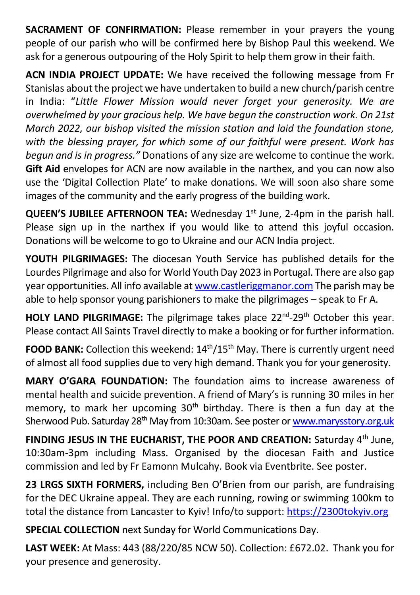**SACRAMENT OF CONFIRMATION:** Please remember in your prayers the young people of our parish who will be confirmed here by Bishop Paul this weekend. We ask for a generous outpouring of the Holy Spirit to help them grow in their faith.

**ACN INDIA PROJECT UPDATE:** We have received the following message from Fr Stanislas about the project we have undertaken to build a new church/parish centre in India: "*Little Flower Mission would never forget your generosity. We are overwhelmed by your gracious help. We have begun the construction work. On 21st March 2022, our bishop visited the mission station and laid the foundation stone, with the blessing prayer, for which some of our faithful were present. Work has begun and is in progress."* Donations of any size are welcome to continue the work. **Gift Aid** envelopes for ACN are now available in the narthex, and you can now also use the 'Digital Collection Plate' to make donations. We will soon also share some images of the community and the early progress of the building work.

**QUEEN'S JUBILEE AFTERNOON TEA:** Wednesday 1<sup>st</sup> June, 2-4pm in the parish hall. Please sign up in the narthex if you would like to attend this joyful occasion. Donations will be welcome to go to Ukraine and our ACN India project.

**YOUTH PILGRIMAGES:** The diocesan Youth Service has published details for the Lourdes Pilgrimage and also for World Youth Day 2023 in Portugal. There are also gap year opportunities. All info available a[t www.castleriggmanor.com](http://www.castleriggmanor.com/) The parish may be able to help sponsor young parishioners to make the pilgrimages – speak to Fr A.

**HOLY LAND PILGRIMAGE:** The pilgrimage takes place 22<sup>nd</sup>-29<sup>th</sup> October this year. Please contact All Saints Travel directly to make a booking or for further information.

**FOOD BANK:** Collection this weekend: 14<sup>th</sup>/15<sup>th</sup> May. There is currently urgent need of almost all food supplies due to very high demand. Thank you for your generosity.

**MARY O'GARA FOUNDATION:** The foundation aims to increase awareness of mental health and suicide prevention. A friend of Mary's is running 30 miles in her memory, to mark her upcoming 30<sup>th</sup> birthday. There is then a fun day at the Sherwood Pub. Saturday 28<sup>th</sup> May from 10:30am. See poster o[r www.marysstory.org.uk](http://www.marysstory.org.uk/)

**FINDING JESUS IN THE EUCHARIST, THE POOR AND CREATION:** Saturday 4th June, 10:30am-3pm including Mass. Organised by the diocesan Faith and Justice commission and led by Fr Eamonn Mulcahy. Book via Eventbrite. See poster.

**23 LRGS SIXTH FORMERS,** including Ben O'Brien from our parish, are fundraising for the DEC Ukraine appeal. They are each running, rowing or swimming 100km to total the distance from Lancaster to Kyiv! Info/to support[: https://2300tokyiv.org](https://2300tokyiv.org/)

**SPECIAL COLLECTION** next Sunday for World Communications Day.

**LAST WEEK:** At Mass: 443 (88/220/85 NCW 50). Collection: £672.02. Thank you for your presence and generosity.